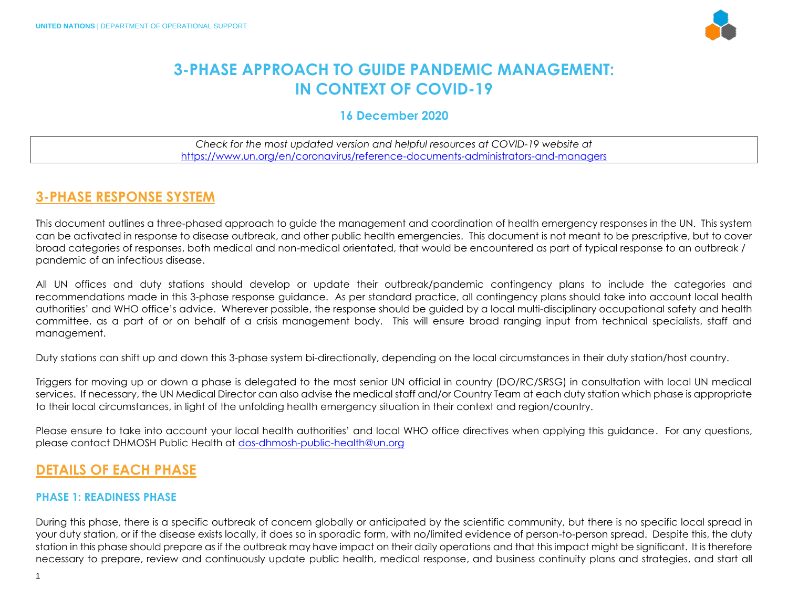

# **3-PHASE APPROACH TO GUIDE PANDEMIC MANAGEMENT: IN CONTEXT OF COVID-19**

### **16 December 2020**

*Check for the most updated version and helpful resources at COVID-19 website at*  <https://www.un.org/en/coronavirus/reference-documents-administrators-and-managers>

## **3-PHASE RESPONSE SYSTEM**

This document outlines a three-phased approach to guide the management and coordination of health emergency responses in the UN. This system can be activated in response to disease outbreak, and other public health emergencies. This document is not meant to be prescriptive, but to cover broad categories of responses, both medical and non-medical orientated, that would be encountered as part of typical response to an outbreak / pandemic of an infectious disease.

All UN offices and duty stations should develop or update their outbreak/pandemic contingency plans to include the categories and recommendations made in this 3-phase response guidance. As per standard practice, all contingency plans should take into account local health authorities' and WHO office's advice. Wherever possible, the response should be guided by a local multi-disciplinary occupational safety and health committee, as a part of or on behalf of a crisis management body. This will ensure broad ranging input from technical specialists, staff and management.

Duty stations can shift up and down this 3-phase system bi-directionally, depending on the local circumstances in their duty station/host country.

Triggers for moving up or down a phase is delegated to the most senior UN official in country (DO/RC/SRSG) in consultation with local UN medical services. If necessary, the UN Medical Director can also advise the medical staff and/or Country Team at each duty station which phase is appropriate to their local circumstances, in light of the unfolding health emergency situation in their context and region/country.

Please ensure to take into account your local health authorities' and local WHO office directives when applying this guidance. For any questions, please contact DHMOSH Public Health at [dos-dhmosh-public-health@un.org](mailto:dos-dhmosh-public-health@un.org)

## **DETAILS OF EACH PHASE**

### **PHASE 1: READINESS PHASE**

During this phase, there is a specific outbreak of concern globally or anticipated by the scientific community, but there is no specific local spread in your duty station, or if the disease exists locally, it does so in sporadic form, with no/limited evidence of person-to-person spread. Despite this, the duty station in this phase should prepare as if the outbreak may have impact on their daily operations and that this impact might be significant. It is therefore necessary to prepare, review and continuously update public health, medical response, and business continuity plans and strategies, and start all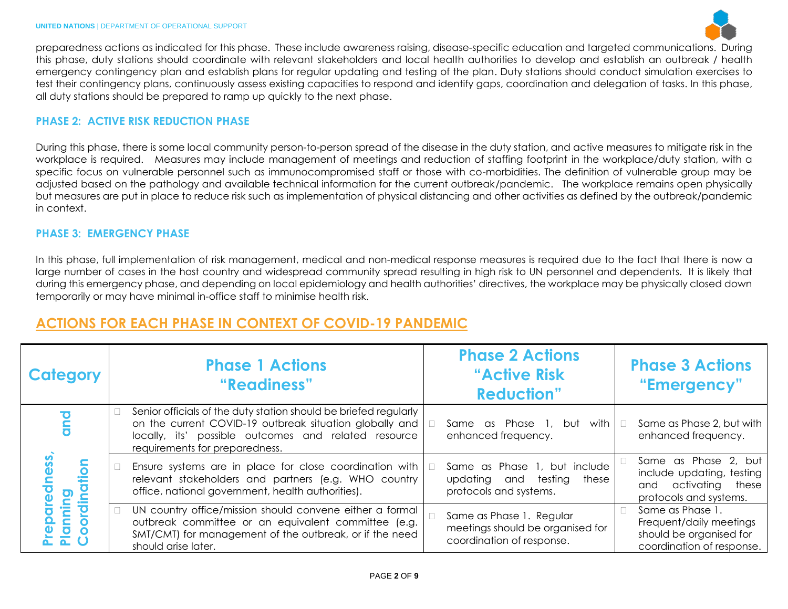

preparedness actions as indicated for this phase. These include awareness raising, disease-specific education and targeted communications. During this phase, duty stations should coordinate with relevant stakeholders and local health authorities to develop and establish an outbreak / health emergency contingency plan and establish plans for regular updating and testing of the plan. Duty stations should conduct simulation exercises to test their contingency plans, continuously assess existing capacities to respond and identify gaps, coordination and delegation of tasks. In this phase, all duty stations should be prepared to ramp up quickly to the next phase.

#### **PHASE 2: ACTIVE RISK REDUCTION PHASE**

During this phase, there is some local community person-to-person spread of the disease in the duty station, and active measures to mitigate risk in the workplace is required. Measures may include management of meetings and reduction of staffing footprint in the workplace/duty station, with a specific focus on vulnerable personnel such as immunocompromised staff or those with co-morbidities. The definition of vulnerable group may be adjusted based on the pathology and available technical information for the current outbreak/pandemic. The workplace remains open physically but measures are put in place to reduce risk such as implementation of physical distancing and other activities as defined by the outbreak/pandemic in context.

#### **PHASE 3: EMERGENCY PHASE**

In this phase, full implementation of risk management, medical and non-medical response measures is required due to the fact that there is now a large number of cases in the host country and widespread community spread resulting in high risk to UN personnel and dependents. It is likely that during this emergency phase, and depending on local epidemiology and health authorities' directives, the workplace may be physically closed down temporarily or may have minimal in-office staff to minimise health risk.

## **ACTIONS FOR EACH PHASE IN CONTEXT OF COVID-19 PANDEMIC**

| <b>Category</b> | <b>Phase 1 Actions</b><br>"Readiness"                                                                                                                                                                                 | <b>Phase 2 Actions</b><br>"Active Risk<br><b>Reduction"</b>                               | <b>Phase 3 Actions</b><br>"Emergency"                                                               |
|-----------------|-----------------------------------------------------------------------------------------------------------------------------------------------------------------------------------------------------------------------|-------------------------------------------------------------------------------------------|-----------------------------------------------------------------------------------------------------|
|                 | Senior officials of the duty station should be briefed regularly<br>on the current COVID-19 outbreak situation globally and<br>locally, its' possible outcomes and related resource<br>requirements for preparedness. | Same as Phase 1,<br>but with  <br>enhanced frequency.                                     | Same as Phase 2, but with<br>enhanced frequency.                                                    |
| $\bullet$       | Ensure systems are in place for close coordination with<br>relevant stakeholders and partners (e.g. WHO country<br>office, national government, health authorities).                                                  | Same as Phase 1, but include<br>updating and testing<br>these<br>protocols and systems.   | Same as Phase 2, but<br>include updating, testing<br>and activating these<br>protocols and systems. |
| nin             | UN country office/mission should convene either a formal<br>outbreak committee or an equivalent committee (e.g.<br>SMT/CMT) for management of the outbreak, or if the need<br>should arise later.                     | Same as Phase 1. Regular<br>meetings should be organised for<br>coordination of response. | Same as Phase 1.<br>Frequent/daily meetings<br>should be organised for<br>coordination of response. |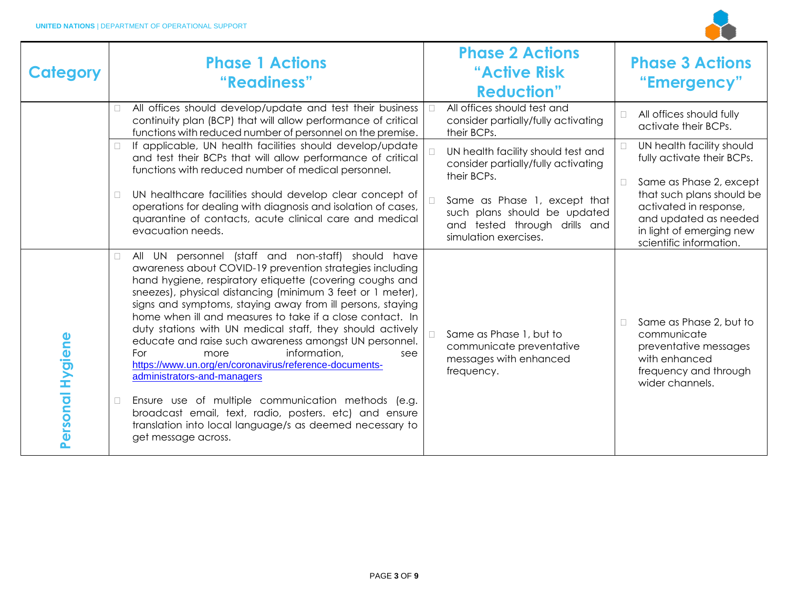

| <b>Category</b>  | <b>Phase 1 Actions</b><br>"Readiness"                                                                                                                                                                                                                                                                                                                                                                                                                                                                                                                                                                                                                                                                                                                                                                                                  | <b>Phase 2 Actions</b><br>"Active Risk<br><b>Reduction"</b>                                                            | <b>Phase 3 Actions</b><br>"Emergency"                                                                                                                                    |
|------------------|----------------------------------------------------------------------------------------------------------------------------------------------------------------------------------------------------------------------------------------------------------------------------------------------------------------------------------------------------------------------------------------------------------------------------------------------------------------------------------------------------------------------------------------------------------------------------------------------------------------------------------------------------------------------------------------------------------------------------------------------------------------------------------------------------------------------------------------|------------------------------------------------------------------------------------------------------------------------|--------------------------------------------------------------------------------------------------------------------------------------------------------------------------|
|                  | All offices should develop/update and test their business<br>continuity plan (BCP) that will allow performance of critical<br>functions with reduced number of personnel on the premise.                                                                                                                                                                                                                                                                                                                                                                                                                                                                                                                                                                                                                                               | All offices should test and<br>$\Box$<br>consider partially/fully activating<br>their BCPs.                            | All offices should fully<br>П<br>activate their BCPs.                                                                                                                    |
|                  | If applicable, UN health facilities should develop/update<br>$\Box$<br>and test their BCPs that will allow performance of critical<br>functions with reduced number of medical personnel.                                                                                                                                                                                                                                                                                                                                                                                                                                                                                                                                                                                                                                              | UN health facility should test and<br>consider partially/fully activating<br>their BCPs.                               | UN health facility should<br>П<br>fully activate their BCPs.                                                                                                             |
|                  | UN healthcare facilities should develop clear concept of<br>$\Box$<br>operations for dealing with diagnosis and isolation of cases,<br>quarantine of contacts, acute clinical care and medical<br>evacuation needs.                                                                                                                                                                                                                                                                                                                                                                                                                                                                                                                                                                                                                    | Same as Phase 1, except that<br>such plans should be updated<br>and tested through drills and<br>simulation exercises. | Same as Phase 2, except<br>$\Box$<br>that such plans should be<br>activated in response,<br>and updated as needed<br>in light of emerging new<br>scientific information. |
| Personal Hygiene | All UN personnel (staff and non-staff) should have<br>awareness about COVID-19 prevention strategies including<br>hand hygiene, respiratory etiquette (covering coughs and<br>sneezes), physical distancing (minimum 3 feet or 1 meter),<br>signs and symptoms, staying away from ill persons, staying<br>home when ill and measures to take if a close contact. In<br>duty stations with UN medical staff, they should actively<br>educate and raise such awareness amongst UN personnel.<br>information,<br>For<br>more<br>see<br>https://www.un.org/en/coronavirus/reference-documents-<br>administrators-and-managers<br>Ensure use of multiple communication methods (e.g.<br>$\Box$<br>broadcast email, text, radio, posters. etc) and ensure<br>translation into local language/s as deemed necessary to<br>get message across. | Same as Phase 1, but to<br>communicate preventative<br>messages with enhanced<br>frequency.                            | Same as Phase 2, but to<br>communicate<br>preventative messages<br>with enhanced<br>frequency and through<br>wider channels.                                             |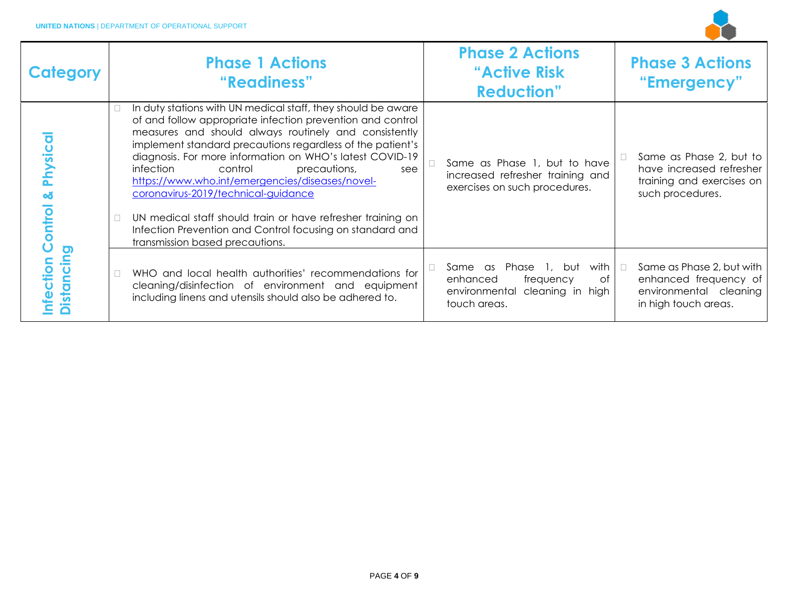

| Category                 |        | <b>Phase 1 Actions</b><br>"Readiness"                                                                                                                                                                                                                                                                                                                                                                                                                                                                                                                                                                                 | <b>Phase 2 Actions</b><br>"Active Risk"<br><b>Reduction"</b>                                                     |        | <b>Phase 3 Actions</b><br>"Emergency"                                                                |
|--------------------------|--------|-----------------------------------------------------------------------------------------------------------------------------------------------------------------------------------------------------------------------------------------------------------------------------------------------------------------------------------------------------------------------------------------------------------------------------------------------------------------------------------------------------------------------------------------------------------------------------------------------------------------------|------------------------------------------------------------------------------------------------------------------|--------|------------------------------------------------------------------------------------------------------|
| Physica<br>۵ă<br>Control |        | In duty stations with UN medical staff, they should be aware<br>of and follow appropriate infection prevention and control<br>measures and should always routinely and consistently<br>implement standard precautions regardless of the patient's<br>diagnosis. For more information on WHO's latest COVID-19<br>infection<br>control<br>precautions,<br>see<br>https://www.who.int/emergencies/diseases/novel-<br>coronavirus-2019/technical-guidance<br>UN medical staff should train or have refresher training on<br>Infection Prevention and Control focusing on standard and<br>transmission based precautions. | Same as Phase 1, but to have<br>increased refresher training and<br>exercises on such procedures.                |        | Same as Phase 2, but to<br>have increased refresher<br>training and exercises on<br>such procedures. |
| Distancing<br>nfection   | $\Box$ | WHO and local health authorities' recommendations for<br>cleaning/disinfection of environment and equipment<br>including linens and utensils should also be adhered to.                                                                                                                                                                                                                                                                                                                                                                                                                                               | with<br>Same as Phase<br>1, but<br>of<br>enhanced<br>frequency<br>environmental cleaning in high<br>touch areas. | $\Box$ | Same as Phase 2, but with<br>enhanced frequency of<br>environmental cleaning<br>in high touch areas. |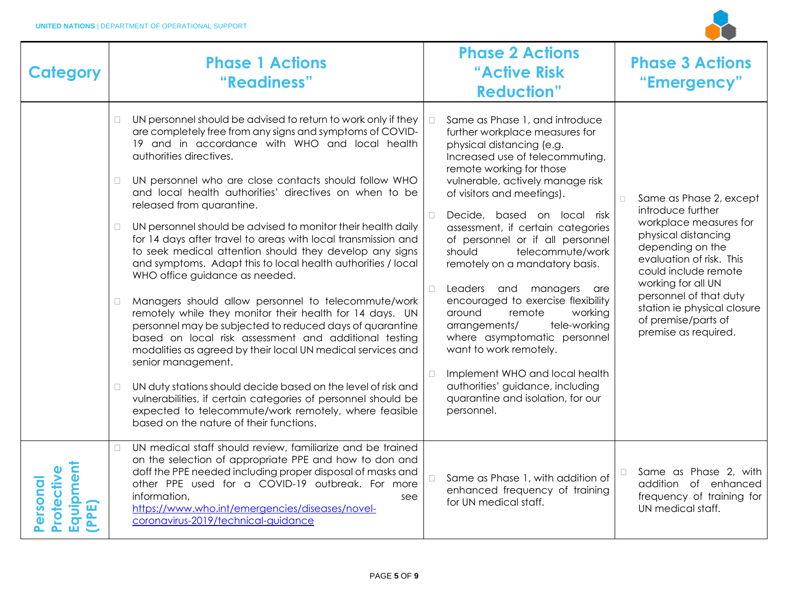

| <b>Category</b>                                  | <b>Phase 1 Actions</b><br>"Readiness"                                                                                                                                                                                                                                                                                                                                                                                                                                                                                                                                                                                                                                                                                                                                                                                                                                                                                                                                                                                                                                                                                                                                                                                                                                      | <b>Phase 2 Actions</b><br>"Active Risk<br><b>Reduction"</b>                                                                                                                                                                                                                                                                                                                                                                                                                                                                                                                                                                                                                                                                                              | <b>Phase 3 Actions</b><br>"Emergency"                                                                                                                                                                                                                                                                         |
|--------------------------------------------------|----------------------------------------------------------------------------------------------------------------------------------------------------------------------------------------------------------------------------------------------------------------------------------------------------------------------------------------------------------------------------------------------------------------------------------------------------------------------------------------------------------------------------------------------------------------------------------------------------------------------------------------------------------------------------------------------------------------------------------------------------------------------------------------------------------------------------------------------------------------------------------------------------------------------------------------------------------------------------------------------------------------------------------------------------------------------------------------------------------------------------------------------------------------------------------------------------------------------------------------------------------------------------|----------------------------------------------------------------------------------------------------------------------------------------------------------------------------------------------------------------------------------------------------------------------------------------------------------------------------------------------------------------------------------------------------------------------------------------------------------------------------------------------------------------------------------------------------------------------------------------------------------------------------------------------------------------------------------------------------------------------------------------------------------|---------------------------------------------------------------------------------------------------------------------------------------------------------------------------------------------------------------------------------------------------------------------------------------------------------------|
|                                                  | UN personnel should be advised to return to work only if they<br>$\Box$<br>are completely free from any signs and symptoms of COVID-<br>19 and in accordance with WHO and local health<br>authorities directives.<br>UN personnel who are close contacts should follow WHO<br>$\Box$<br>and local health authorities' directives on when to be<br>released from quarantine.<br>UN personnel should be advised to monitor their health daily<br>$\Box$<br>for 14 days after travel to areas with local transmission and<br>to seek medical attention should they develop any signs<br>and symptoms. Adapt this to local health authorities / local<br>WHO office guidance as needed.<br>Managers should allow personnel to telecommute/work<br>$\Box$<br>remotely while they monitor their health for 14 days. UN<br>personnel may be subjected to reduced days of quarantine<br>based on local risk assessment and additional testing<br>modalities as agreed by their local UN medical services and<br>senior management.<br>$\Box$<br>UN duty stations should decide based on the level of risk and<br>vulnerabilities, if certain categories of personnel should be<br>expected to telecommute/work remotely, where feasible<br>based on the nature of their functions. | Same as Phase 1, and introduce<br>further workplace measures for<br>physical distancing (e.g.<br>Increased use of telecommuting,<br>remote working for those<br>vulnerable, actively manage risk<br>of visitors and meetings).<br>Decide, based on local risk<br>$\Box$<br>assessment, if certain categories<br>of personnel or if all personnel<br>telecommute/work<br>should<br>remotely on a mandatory basis.<br>Leaders and managers<br>П.<br>are<br>encouraged to exercise flexibility<br>around<br>remote<br>working<br>tele-working<br>arrangements/<br>where asymptomatic personnel<br>want to work remotely.<br>Implement WHO and local health<br>$\Box$<br>authorities' guidance, including<br>quarantine and isolation, for our<br>personnel. | Same as Phase 2, except<br>$\Box$<br>introduce further<br>workplace measures for<br>physical distancing<br>depending on the<br>evaluation of risk. This<br>could include remote<br>working for all UN<br>personnel of that duty<br>station ie physical closure<br>of premise/parts of<br>premise as required. |
| Equipment<br>Protectiv<br>ersonal<br><b>PPE)</b> | UN medical staff should review, familiarize and be trained<br>$\Box$<br>on the selection of appropriate PPE and how to don and<br>doff the PPE needed including proper disposal of masks and<br>other PPE used for a COVID-19 outbreak. For more<br>information,<br>see<br>https://www.who.int/emergencies/diseases/novel-<br>coronavirus-2019/technical-guidance                                                                                                                                                                                                                                                                                                                                                                                                                                                                                                                                                                                                                                                                                                                                                                                                                                                                                                          | Same as Phase 1, with addition of<br>$\Box$<br>enhanced frequency of training<br>for UN medical staff.                                                                                                                                                                                                                                                                                                                                                                                                                                                                                                                                                                                                                                                   | Same as Phase 2, with<br>$\Box$<br>addition of enhanced<br>frequency of training for<br>UN medical staff.                                                                                                                                                                                                     |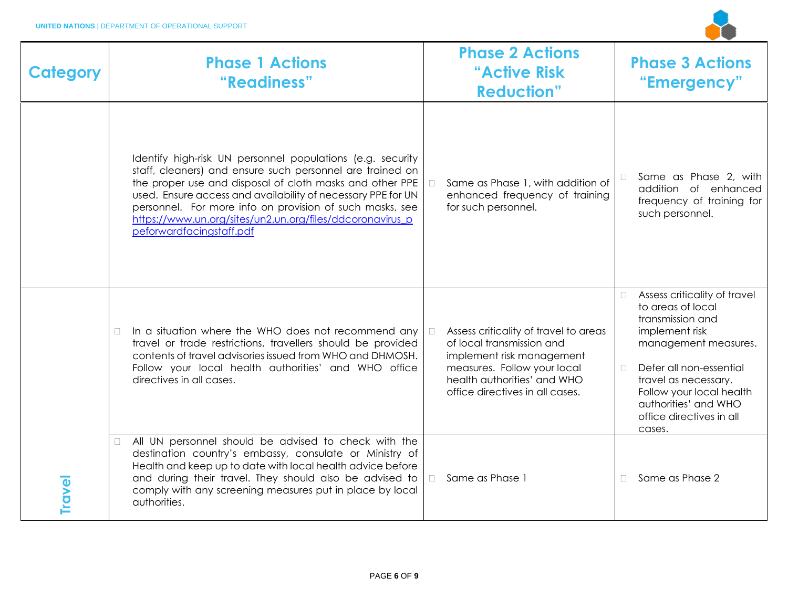

| Category      | <b>Phase 1 Actions</b><br>"Readiness"                                                                                                                                                                                                                                                                                                                                                                    | <b>Phase 2 Actions</b><br>"Active Risk<br><b>Reduction"</b>                                                                                                                                                | <b>Phase 3 Actions</b><br>"Emergency"                                                                                                                                                                                                                                  |
|---------------|----------------------------------------------------------------------------------------------------------------------------------------------------------------------------------------------------------------------------------------------------------------------------------------------------------------------------------------------------------------------------------------------------------|------------------------------------------------------------------------------------------------------------------------------------------------------------------------------------------------------------|------------------------------------------------------------------------------------------------------------------------------------------------------------------------------------------------------------------------------------------------------------------------|
|               | Identify high-risk UN personnel populations (e.g. security<br>staff, cleaners) and ensure such personnel are trained on<br>the proper use and disposal of cloth masks and other PPE<br>used. Ensure access and availability of necessary PPE for UN<br>personnel. For more info on provision of such masks, see<br>https://www.un.org/sites/un2.un.org/files/ddcoronavirus p<br>peforwardfacingstaff.pdf | Same as Phase 1, with addition of<br>enhanced frequency of training<br>for such personnel.                                                                                                                 | Same as Phase 2, with<br>addition of enhanced<br>frequency of training for<br>such personnel.                                                                                                                                                                          |
|               | In a situation where the WHO does not recommend any<br>$\Box$<br>travel or trade restrictions, travellers should be provided<br>contents of travel advisories issued from WHO and DHMOSH.<br>Follow your local health authorities' and WHO office<br>directives in all cases.                                                                                                                            | Assess criticality of travel to areas<br>$\Box$<br>of local transmission and<br>implement risk management<br>measures. Follow your local<br>health authorities' and WHO<br>office directives in all cases. | Assess criticality of travel<br>to areas of local<br>transmission and<br>implement risk<br>management measures.<br>Defer all non-essential<br>$\Box$<br>travel as necessary.<br>Follow your local health<br>authorities' and WHO<br>office directives in all<br>cases. |
| <b>Travel</b> | All UN personnel should be advised to check with the<br>destination country's embassy, consulate or Ministry of<br>Health and keep up to date with local health advice before<br>and during their travel. They should also be advised to<br>comply with any screening measures put in place by local<br>authorities.                                                                                     | Same as Phase 1<br>$\Box$                                                                                                                                                                                  | Same as Phase 2                                                                                                                                                                                                                                                        |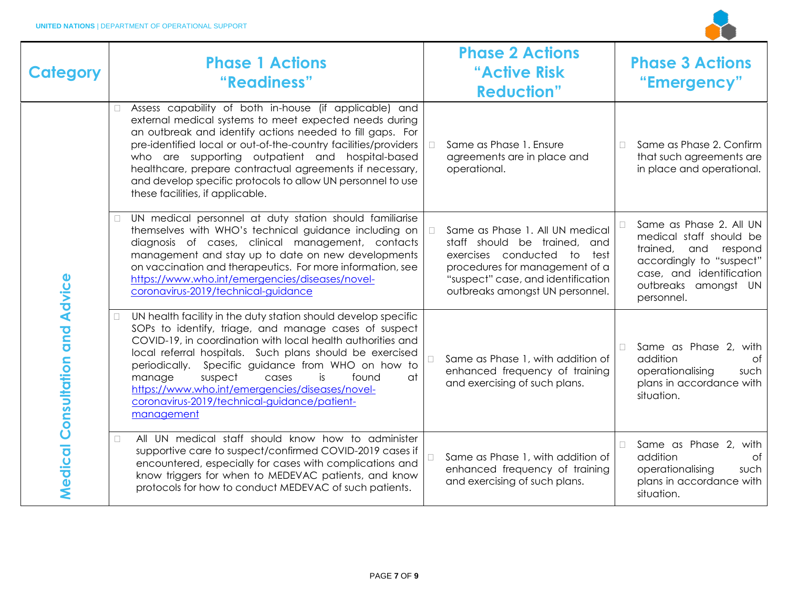

| <b>Category</b>                 |        | <b>Phase 1 Actions</b><br>"Readiness"                                                                                                                                                                                                                                                                                                                                                                                                                                        | <b>Phase 2 Actions</b><br>"Active Risk<br><b>Reduction"</b>                                                                                                                                               |        | <b>Phase 3 Actions</b><br>"Emergency"                                                                                                                                       |
|---------------------------------|--------|------------------------------------------------------------------------------------------------------------------------------------------------------------------------------------------------------------------------------------------------------------------------------------------------------------------------------------------------------------------------------------------------------------------------------------------------------------------------------|-----------------------------------------------------------------------------------------------------------------------------------------------------------------------------------------------------------|--------|-----------------------------------------------------------------------------------------------------------------------------------------------------------------------------|
|                                 | П      | Assess capability of both in-house (if applicable) and<br>external medical systems to meet expected needs during<br>an outbreak and identify actions needed to fill gaps. For<br>pre-identified local or out-of-the-country facilities/providers<br>who are supporting outpatient and hospital-based<br>healthcare, prepare contractual agreements if necessary,<br>and develop specific protocols to allow UN personnel to use<br>these facilities, if applicable.          | Same as Phase 1. Ensure<br>agreements are in place and<br>operational.                                                                                                                                    | $\Box$ | Same as Phase 2. Confirm<br>that such agreements are<br>in place and operational.                                                                                           |
| Medical Consultation and Advice | П      | UN medical personnel at duty station should familiarise<br>themselves with WHO's technical guidance including on<br>diagnosis of cases, clinical management, contacts<br>management and stay up to date on new developments<br>on vaccination and therapeutics. For more information, see<br>https://www.who.int/emergencies/diseases/novel-<br>coronavirus-2019/technical-guidance                                                                                          | Same as Phase 1. All UN medical<br>staff should be trained, and<br>exercises conducted to test<br>procedures for management of a<br>"suspect" case, and identification<br>outbreaks amongst UN personnel. |        | Same as Phase 2. All UN<br>medical staff should be<br>trained, and<br>respond<br>accordingly to "suspect"<br>case, and identification<br>outbreaks amongst UN<br>personnel. |
|                                 | $\Box$ | UN health facility in the duty station should develop specific<br>SOPs to identify, triage, and manage cases of suspect<br>COVID-19, in coordination with local health authorities and<br>local referral hospitals. Such plans should be exercised<br>periodically. Specific guidance from WHO on how to<br>suspect<br>manage<br>is<br>found<br>at<br>cases<br>https://www.who.int/emergencies/diseases/novel-<br>coronavirus-2019/technical-guidance/patient-<br>management | Same as Phase 1, with addition of<br>enhanced frequency of training<br>and exercising of such plans.                                                                                                      | П.     | Same as Phase 2,<br>with<br>addition<br>0f<br>operationalising<br>such<br>plans in accordance with<br>situation.                                                            |
|                                 | $\Box$ | All UN medical staff should know how to administer<br>supportive care to suspect/confirmed COVID-2019 cases if<br>encountered, especially for cases with complications and<br>know triggers for when to MEDEVAC patients, and know<br>protocols for how to conduct MEDEVAC of such patients.                                                                                                                                                                                 | Same as Phase 1, with addition of<br>enhanced frequency of training<br>and exercising of such plans.                                                                                                      | $\Box$ | Same as Phase 2, with<br>addition<br>0f<br>operationalising<br>such<br>plans in accordance with<br>situation.                                                               |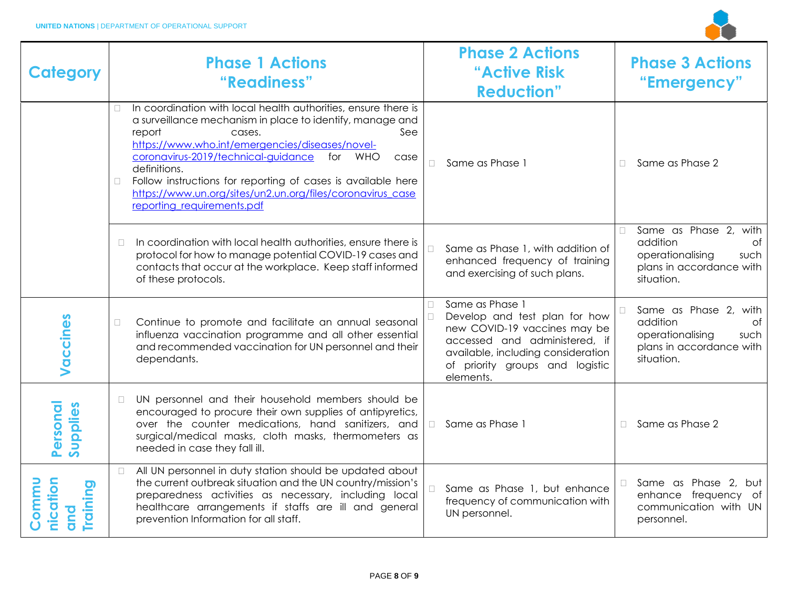

| <b>Category</b>                       |        | <b>Phase 1 Actions</b><br>"Readiness"                                                                                                                                                                                                                                                                                                                                                                                                           |        | <b>Phase 2 Actions</b><br>"Active Risk<br><b>Reduction"</b>                                                                                                                                             |        | <b>Phase 3 Actions</b><br>"Emergency"                                                                         |
|---------------------------------------|--------|-------------------------------------------------------------------------------------------------------------------------------------------------------------------------------------------------------------------------------------------------------------------------------------------------------------------------------------------------------------------------------------------------------------------------------------------------|--------|---------------------------------------------------------------------------------------------------------------------------------------------------------------------------------------------------------|--------|---------------------------------------------------------------------------------------------------------------|
|                                       | $\Box$ | In coordination with local health authorities, ensure there is<br>a surveillance mechanism in place to identify, manage and<br>report<br>See<br>cases.<br>https://www.who.int/emergencies/diseases/novel-<br>coronavirus-2019/technical-guidance<br>for WHO<br>case<br>definitions.<br>Follow instructions for reporting of cases is available here<br>https://www.un.org/sites/un2.un.org/files/coronavirus case<br>reporting requirements.pdf | $\Box$ | Same as Phase 1                                                                                                                                                                                         | $\Box$ | Same as Phase 2                                                                                               |
|                                       | $\Box$ | In coordination with local health authorities, ensure there is<br>protocol for how to manage potential COVID-19 cases and<br>contacts that occur at the workplace. Keep staff informed<br>of these protocols.                                                                                                                                                                                                                                   |        | Same as Phase 1, with addition of<br>enhanced frequency of training<br>and exercising of such plans.                                                                                                    | $\Box$ | Same as Phase 2, with<br>addition<br>Οf<br>operationalising<br>such<br>plans in accordance with<br>situation. |
| Vaccines                              | $\Box$ | Continue to promote and facilitate an annual seasonal<br>influenza vaccination programme and all other essential<br>and recommended vaccination for UN personnel and their<br>dependants.                                                                                                                                                                                                                                                       | П.     | Same as Phase 1<br>Develop and test plan for how<br>new COVID-19 vaccines may be<br>accessed and administered, if<br>available, including consideration<br>of priority groups and logistic<br>elements. | $\Box$ | Same as Phase 2, with<br>addition<br>Οf<br>operationalising<br>such<br>plans in accordance with<br>situation. |
| Personal<br>Supplies                  | $\Box$ | UN personnel and their household members should be<br>encouraged to procure their own supplies of antipyretics,<br>over the counter medications, hand sanitizers, and<br>surgical/medical masks, cloth masks, thermometers as<br>needed in case they fall ill.                                                                                                                                                                                  | $\Box$ | Same as Phase 1                                                                                                                                                                                         | $\Box$ | Same as Phase 2                                                                                               |
| nication<br>Commu<br>Training<br>puto | $\Box$ | All UN personnel in duty station should be updated about<br>the current outbreak situation and the UN country/mission's<br>preparedness activities as necessary, including local<br>healthcare arrangements if staffs are ill and general<br>prevention Information for all staff.                                                                                                                                                              |        | Same as Phase 1, but enhance<br>frequency of communication with<br>UN personnel.                                                                                                                        | $\Box$ | Same as Phase 2, but<br>enhance frequency of<br>communication with UN<br>personnel.                           |